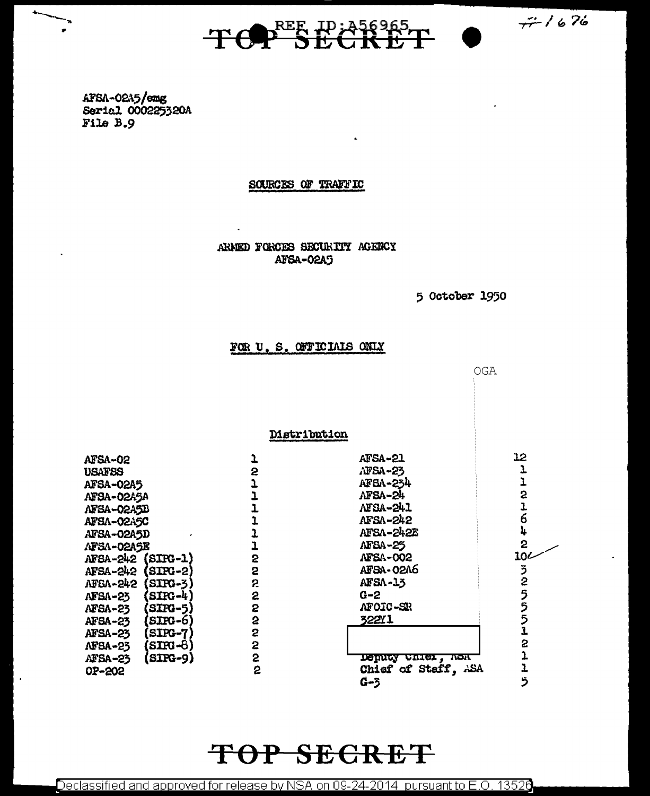$7 - 1676$ 



AFSA-0215/emg Serial 000225320A File B.9

#### SOURCES OF TRAFFIC

ARMED FORCES SECURITY ACENCY **AFSA-02A5** 

5 October 1950

#### FOR U. S. OFFICIALS ONLY



### OP SECRET

Declassified and approved for release by NSA on 09-24-2014 pursuant to E.O. 13526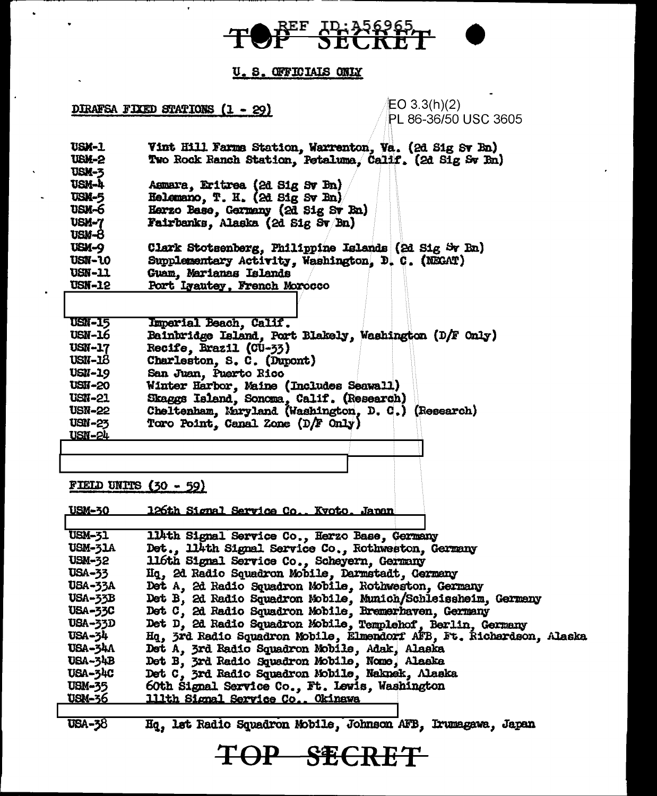

U. S. OFFICIAIS ONLY

 $\hat{\mathbf{r}}$ 

|                                                                                                                                    | EO $3.3(h)(2)$<br><b>DIRAFSA FIXED STATIONS (1 - 29)</b><br>PL 86-36/50 USC 3605                                                                                                                                                                                                                                                                                                                                                                          |
|------------------------------------------------------------------------------------------------------------------------------------|-----------------------------------------------------------------------------------------------------------------------------------------------------------------------------------------------------------------------------------------------------------------------------------------------------------------------------------------------------------------------------------------------------------------------------------------------------------|
| <b>USM-1</b><br>USK-2                                                                                                              | Vint Hill Farms Station, Warrenton, Va. (2d Sig Sv Bn)<br>Two Rock Ranch Station, Petaluma, Calif. (2d Sig Sw Bn)                                                                                                                                                                                                                                                                                                                                         |
| USM-3<br>USM-4<br>USM-5<br>usn-6<br>USM-7<br>USM-8                                                                                 | Asmara, Eritrea (2d Sig Sv Bn)<br>Helemano, T. H. (2d Sig Sv Bn)<br>Herzo Base, Germany (2d Sig Sv Bn)<br>Fairbanks, Alaska (2d Sig Sv Bn)                                                                                                                                                                                                                                                                                                                |
| USM-9<br>USIN-10<br><b>USN-11</b><br><b>USN-12</b>                                                                                 | Clark Stotsenberg, Philippine Islands (2d Sig Sr Bn)<br>Supplementary Activity, Washington, D. C. (NEGAT)<br>Guam, Marianas Islands<br>Port Lyautey, French Morocco                                                                                                                                                                                                                                                                                       |
| <b>USN-15</b><br><b>USN-16</b><br><b>USN-17</b><br><b>USN-18</b><br><b>USN-19</b><br><b>USN-20</b><br><b>USN-21</b>                | Imperial Beach, Calif.<br>Bainbridge Island, Port Blakely, Washington (D/F Only)<br>Recife, Brazil (CU-33)<br>Charleston, S. C. (Dupont)<br>San Juan, Puerto Rico<br>Winter Harbor, Maine (Includes Seawall)                                                                                                                                                                                                                                              |
| <b>USN-22</b><br><b>USN-23</b><br><u>USN-24</u>                                                                                    | Skaggs Island, Sonoma, Calif. (Research)<br>Cheltenham, Maryland (Washington, D. C.) (Research)<br>Toro Point, Canal Zone (D/F Only)                                                                                                                                                                                                                                                                                                                      |
|                                                                                                                                    | FIELD UNITS (30 - 59)                                                                                                                                                                                                                                                                                                                                                                                                                                     |
| <u>USM-30</u>                                                                                                                      | <u> 126th Signal Service Co., Kvoto, Japan</u>                                                                                                                                                                                                                                                                                                                                                                                                            |
| <b>USM-31</b><br>USM-31A<br><b>USM-32</b><br><b>USA-33</b><br><b>USA-33A</b><br><b>USA-33B</b><br><b>USA-33C</b><br><b>USA-33D</b> | 114th Signal Service Co., Herzo Base, Germany<br>Det., 114th Signal Service Co., Rothweston, Germany<br>116th Signal Service Co., Scheyern, Germany<br>liq, 2d Radio Squadron Mobile, Darmstadt, Germany<br>Det A, 2d Radio Squadron Mobile, Rothweston, Germany<br>Det B, 2d Radio Squadron Nobile, Munich/Schleissheim, Germany<br>Det C, 2d Radio Squadron Mobile, Bremerhaven, Germany<br>Det D, 2d Radio Squadron Mobile, Templehof, Berlin, Germany |
| <b>USA-34</b><br><b>USA-34A</b><br><b>USA-34B</b><br><b>USA-34C</b><br><b>USM-35</b><br><u>USM-36</u>                              | Hq, 3rd Radio Squadron Mobile, Elmendorf AFB, Ft. Richardson, Alaska<br>Det A. 3rd Radio Squadron Mobile, Adak, Alaska<br>Det B, 3rd Radio Squadron Mobile, Nome, Alaska<br>Det C, 3rd Radio Squadron Mobile, Naknek, Alaska<br>60th Signal Service Co., Ft. Lewis, Washington<br>111th Signal Service Co., Okinawa                                                                                                                                       |
| <b>USA-38</b>                                                                                                                      | Hq. lat Radio Squadron Mobile, Johnson AFB. Irumagawa, Japan                                                                                                                                                                                                                                                                                                                                                                                              |

TOP SECRET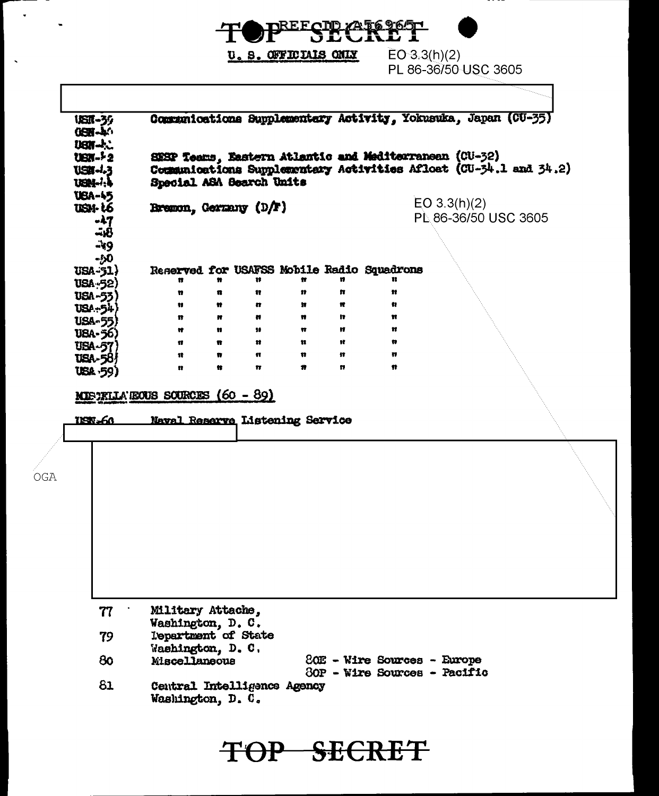PREFCIP AF 169651

U.S. OFFICIALS ONLY

 $\tilde{\phantom{a}}$ 

OGA

EO-3.3(h)(2)<br>PL 86-36/50-USC 3605

----

1

| <b>ISIT-39</b>  |                                            |              |              |              |                      |                              | Communications Supplementary Activity, Yokusuka, Japan (CU-35)    |
|-----------------|--------------------------------------------|--------------|--------------|--------------|----------------------|------------------------------|-------------------------------------------------------------------|
| 0696-740        |                                            |              |              |              |                      |                              |                                                                   |
| USN-            |                                            |              |              |              |                      |                              |                                                                   |
| $Uex + 2$       |                                            |              |              |              |                      |                              | SESP Teems, Eastern Atlantic and Mediterranean (CU-32)            |
| USIN-1.3        |                                            |              |              |              |                      |                              | Communications Supplementary Activities Afloat (CU-34.1 and 34.2) |
| USN-1.4         | Special ASA Search Units                   |              |              |              |                      |                              |                                                                   |
| <b>UBA-45</b>   |                                            |              |              |              |                      |                              |                                                                   |
| USM-16          | Bremon, Germany (D/F)                      |              |              |              | EO 3.3(h)(2)         |                              |                                                                   |
| $-17$           |                                            |              |              |              | PL 86-36/50 USC 3605 |                              |                                                                   |
| ન્મ8            |                                            |              |              |              |                      |                              |                                                                   |
| -49             |                                            |              |              |              |                      |                              |                                                                   |
| -50             |                                            |              |              |              |                      |                              |                                                                   |
| USA-51)         | Reserved for USAFSS Mobile Radio Squadrons |              |              |              |                      |                              |                                                                   |
| <b>USA -52)</b> | n                                          | Ħ            | 11           | Ħ            | n                    | 11                           |                                                                   |
| USA-53)         | n                                          | 11           | 17           | 88           | 88.                  | n                            |                                                                   |
| USA-54)         | 39                                         | Ħ            | $\mathbf{u}$ | ×            | ₩.                   | Ħ                            |                                                                   |
| USA-55)         | $\mathbf{H}$                               | $\mathbf{m}$ | n.           | $\mathbf{H}$ | 88.                  | Ħ                            |                                                                   |
| <b>UBA-56)</b>  | $\mathbf{r}$                               | $\mathbf{u}$ | 18           | $\mathbf{H}$ | $\bullet$            | Ħ                            |                                                                   |
| USA-57)         | $\mathbf{u}$                               | $\mathbf{n}$ | $\mathbf{u}$ | $\mathbf{u}$ | $\bullet$            | n                            |                                                                   |
| <b>USA-58/</b>  | 11                                         | $\mathbf{u}$ | 47           | n            | $\mathbf{H}$         | 11                           |                                                                   |
| USA .59)        | 88                                         | 12           | $\mathbf{r}$ | $\mathbf{r}$ | $\mathbf{r}$         | 11                           |                                                                   |
|                 | <b>MIBORILA ECOUS SOURCES (60 - 89)</b>    |              |              |              |                      |                              |                                                                   |
|                 |                                            |              |              |              |                      |                              |                                                                   |
| <b>11SV-60</b>  | Naval Reserve Listening Service            |              |              |              |                      |                              |                                                                   |
|                 |                                            |              |              |              |                      |                              |                                                                   |
|                 |                                            |              |              |              |                      |                              |                                                                   |
|                 |                                            |              |              |              |                      |                              |                                                                   |
|                 |                                            |              |              |              |                      |                              |                                                                   |
|                 |                                            |              |              |              |                      |                              |                                                                   |
|                 |                                            |              |              |              |                      |                              |                                                                   |
|                 |                                            |              |              |              |                      |                              |                                                                   |
|                 |                                            |              |              |              |                      |                              |                                                                   |
|                 |                                            |              |              |              |                      |                              |                                                                   |
|                 |                                            |              |              |              |                      |                              |                                                                   |
|                 |                                            |              |              |              |                      |                              |                                                                   |
|                 |                                            |              |              |              |                      |                              |                                                                   |
|                 |                                            |              |              |              |                      |                              |                                                                   |
|                 |                                            |              |              |              |                      |                              |                                                                   |
|                 |                                            |              |              |              |                      |                              |                                                                   |
| 77              | Military Attache.                          |              |              |              |                      |                              |                                                                   |
|                 | Washington, D. C.                          |              |              |              |                      |                              |                                                                   |
| 79              | lepartment of State                        |              |              |              |                      |                              |                                                                   |
|                 | Washington, D. C.                          |              |              |              |                      |                              |                                                                   |
| 80              | <b>Miscellaneous</b>                       |              |              |              |                      | 80E - Wire Sources - Europe  |                                                                   |
|                 |                                            |              |              |              |                      | 30P - Wire Sources - Pacific |                                                                   |
| 81              | Central Intelligence Agency                |              |              |              |                      |                              |                                                                   |
|                 | Washington, D. C.                          |              |              |              |                      |                              |                                                                   |

TOP SECRET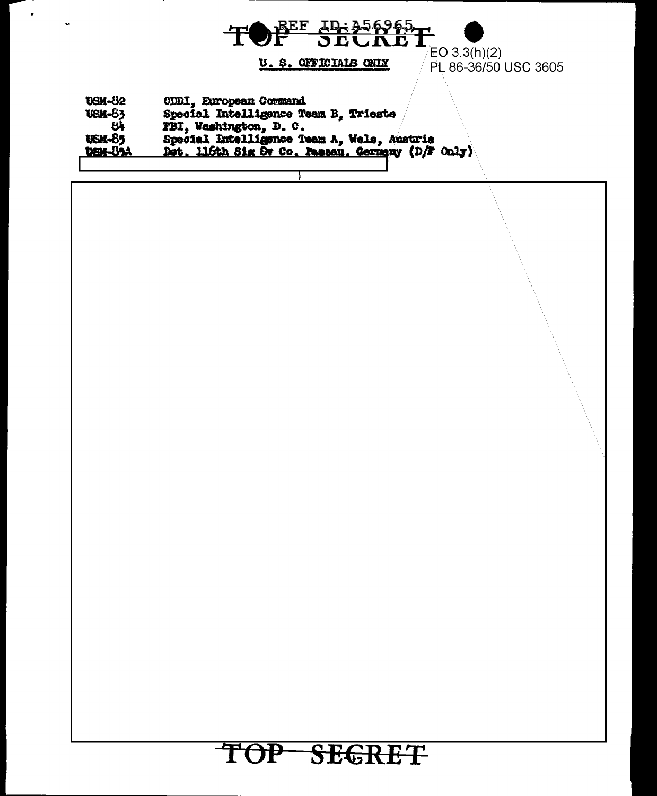

## OP SEGRET